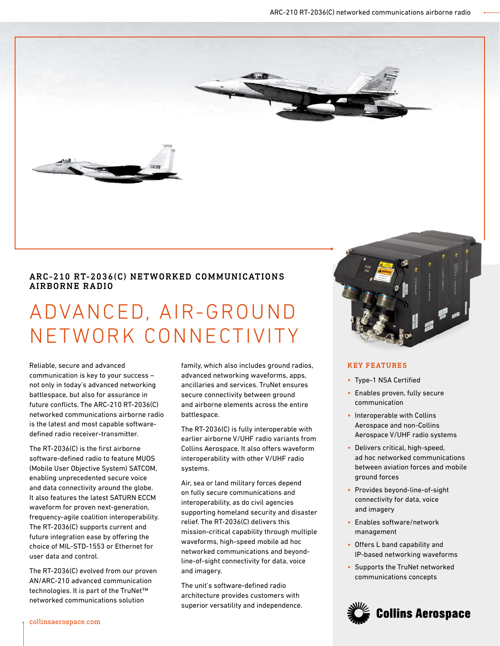

# ARC-210 RT-2036(C) NETWORKED COMMUNICATIONS AIRBORNE RADIO

# ADVANCED, AIR-GROUND NETWORK CONNECTIVITY

Reliable, secure and advanced communication is key to your success – not only in today's advanced networking battlespace, but also for assurance in future conflicts. The ARC-210 RT-2036(C) networked communications airborne radio is the latest and most capable softwaredefined radio receiver-transmitter.

The RT-2036(C) is the first airborne software-defined radio to feature MUOS (Mobile User Objective System) SATCOM, enabling unprecedented secure voice and data connectivity around the globe. It also features the latest SATURN ECCM waveform for proven next-generation, frequency-agile coalition interoperability. The RT-2036(C) supports current and future integration ease by offering the choice of MIL-STD-1553 or Ethernet for user data and control.

The RT-2036(C) evolved from our proven AN/ARC-210 advanced communication technologies. It is part of the TruNet™ networked communications solution

family, which also includes ground radios, advanced networking waveforms, apps, ancillaries and services. TruNet ensures secure connectivity between ground and airborne elements across the entire battlespace.

The RT-2036(C) is fully interoperable with earlier airborne V/UHF radio variants from Collins Aerospace. It also offers waveform interoperability with other V/UHF radio systems.

Air, sea or land military forces depend on fully secure communications and interoperability, as do civil agencies supporting homeland security and disaster relief. The RT-2036(C) delivers this mission-critical capability through multiple waveforms, high-speed mobile ad hoc networked communications and beyondline-of-sight connectivity for data, voice and imagery.

The unit's software-defined radio architecture provides customers with superior versatility and independence.



# KEY FEATURES

- Type-1 NSA Certified
- Enables proven, fully secure communication
- Interoperable with Collins Aerospace and non-Collins Aerospace V/UHF radio systems
- Delivers critical, high-speed, ad hoc networked communications between aviation forces and mobile ground forces
- Provides beyond-line-of-sight connectivity for data, voice and imagery
- Enables software/network management
- Offers L band capability and IP-based networking waveforms
- Supports the TruNet networked communications concepts